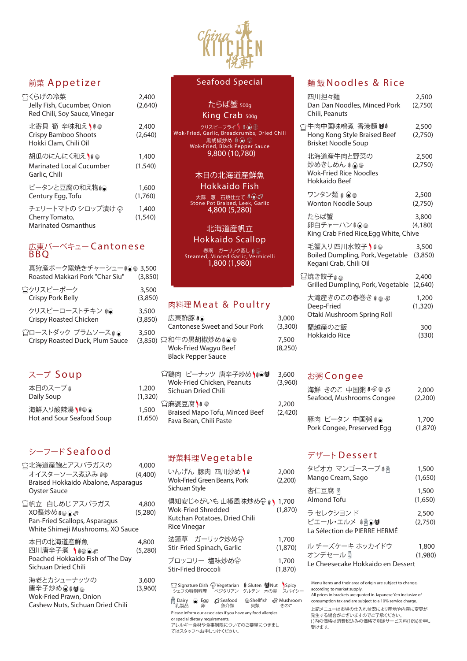

# 前菜 Appetizer

| ☆くらげの冷菜<br>Jelly Fish, Cucumber, Onion<br>Red Chili, Soy Sauce, Vinegar | 2,400<br>(2,640)  |
|-------------------------------------------------------------------------|-------------------|
| 北寄貝 筍 辛味和え♪ * ◎<br><b>Crispy Bamboo Shoots</b><br>Hokki Clam, Chili Oil | 2,400<br>(2,640)  |
| 胡瓜のにんにく和え♪≢☞<br><b>Marinated Local Cucumber</b><br>Garlic, Chili        | 1,400<br>(1, 540) |
| ピータンと豆腐の和え物創●<br>Century Egg, Tofu                                      | 1,600<br>(1,760)  |
| チェリートマトの シロップ漬け 命<br>Cherry Tomato,<br><b>Marinated Osmanthus</b>       | 1,400<br>(1, 540) |

## 広東バーベキュー Cantonese BBQ

海鮮入り酸辣湯 1,500 Hot and Sour Seafood Soup (1,65

| 真狩産ポーク窯焼きチャーシュー≸◉♨ 3,500<br>Roasted Makkari Pork "Char Siu" | (3,850) |
|-------------------------------------------------------------|---------|
| ☆クリスピーポーク                                                   | 3,500   |
| <b>Crispy Pork Belly</b>                                    | (3,850) |
| クリスピーローストチキン き◎                                             | 3,500   |
| <b>Crispy Roasted Chicken</b>                               | (3,850) |
| ≌ローストダック プラムソースぉ●                                           | 3,500   |

Crispy Roasted Duck, Plum Sauce (3,850)

## たらば蟹 500g King Crab 500g

# スープ Soup

| 本日のスープ ៖   |  |
|------------|--|
| Daily Soup |  |

# シーフード Seafood

| ☆北海道産鮑とアスパラガスの                      | 4,000   |
|-------------------------------------|---------|
| オイスターソース煮込み き                       | (4,400) |
| Braised Hokkaido Abalone, Asparagus |         |
| <b>Oyster Sauce</b>                 |         |

帆立 白しめじアスパラガス 4,800 XO醤炒め | ◎ ◎ ◎ ◎ ◎ (5,280) Pan-Fried Scallops, Asparagus White Shimeji Mushrooms, XO Sauce

倶知安じゃがいも山椒風味炒め $\widehat{\mathbb{G}}$  \*) 1,700 Wok-Fried Shredded (1,870) Kutchan Potatoes, Dried Chili Rice Vinegar

本日の北海道産鮮魚 4,800 四川唐辛子煮 (\$@⊙எ (5,280) Poached Hokkaido Fish of The Day Sichuan Dried Chili

法蓮草 ガーリック炒め $\widehat{\mathbb{G}}$  1,700 Stir-Fried Spinach, Garlic (1,870) ブロッコリー 塩味炒め ? | 1,700 Stir-Fried Broccoli (1,870)

海老とカシューナッツの 3,600 唐辛子炒め◉☀♥♨ (3,960) Wok-Fried Prawn, Onion Cashew Nuts, Sichuan Dried Chili

## Seafood Special

| (3,850)<br>3,500 | 広東酢豚 ♦⊙<br><b>Cantonese Sweet and Sour Pork</b>                                       | 3,000<br>(3,300) |
|------------------|---------------------------------------------------------------------------------------|------------------|
| (3,850)          | ☆和牛の黒胡椒炒めき●<br><b>Wok-Fried Wagyu Beef</b><br><b>Black Pepper Sauce</b>               | 7,500<br>(8,250) |
| 1,200<br>(1,320) | □鶏肉 ピーナッツ 唐辛子炒め\ゅ◎<br><b>Wok-Fried Chicken, Peanuts</b><br><b>Sichuan Dried Chili</b> | 3,600<br>(3,960) |
| 1,500<br>(1,650) | 臼麻婆豆腐Ѷ↓<br><b>Braised Mapo Tofu, Minced Beef</b><br>Fava Bean, Chili Paste            | 2,200<br>(2,420) |

クリスピーフライ Wok-Fried, Garlic, Breadcrumbs, Dried Chili 黒胡椒炒め Wok-Fried, Black Pepper Sauce 9,800 (10,780)

#### 本日の北海道産鮮魚

#### Hokkaido Fish

大蒜 葱 石焼仕立て Stone Pot Braised, Leek, Garlic 4,800 (5,280)

# 北海道産帆立

## Hokkaido Scallop

春雨 ガーリック蒸し Steamed, Minced Garlic, Vermicelli 1,800 (1,980)

# 肉料理 Meat & Poultry

Please inform our associates if you have any food allergies or special dietary requirements. アレルギー食材や食事制限についてのご要望につきまし てはスタッフへお申しつけください。 □ Signature Dish <br />
<sup>◆</sup>
Vegetarian  $\frac{2}{3}$  Gluten  $\blacksquare$  Nut spicy シェフの特別料理 ベジタリアン グルテン 木の実 スパイシー 回 Dairy ● Egg *こ*Seafood Shellfish G Mushroom<br> 乳製品 卵 魚介類 貝類 きのこ

# 野菜料理 Vegetable

きのこ しこうレニューは市場の仕入れ状況により産地や内容に変更が 発生する場合がございますのでご了承ください。 ( )内の価格は消費税込みの価格で別途サービス料(10%)を申し 受けます。

| いんげん 豚肉 四川炒めりき                     | 2,000   |
|------------------------------------|---------|
| <b>Wok-Fried Green Beans, Pork</b> | (2,200) |
| Sichuan Style                      |         |

## 麺 飯 Noodles & Rice

| 四川担々麺<br>Dan Dan Noodles, Minced Pork<br>Chili, Peanuts                                   | 2,500<br>(2,750)  |
|-------------------------------------------------------------------------------------------|-------------------|
| □牛肉中国味噌煮 香港麺 <sup>0\$</sup><br>Hong Kong Style Braised Beef<br><b>Brisket Noodle Soup</b> | 2,500<br>(2,750)  |
| 北海道産牛肉と野菜の<br>炒めきしめん き◎®<br><b>Wok-Fried Rice Noodles</b><br>Hokkaido Beef                | 2,500<br>(2,750)  |
| ワンタン麺 ☀ ◉⋓<br><b>Wonton Noodle Soup</b>                                                   | 2,500<br>(2,750)  |
| たらば蟹<br>卵白チャーハン☀◉♨<br>King Crab Fried Rice, Egg White, Chive                              | 3,800<br>(4,180)  |
| 毛蟹入り四川水餃子~☀❀<br>Boiled Dumpling, Pork, Vegetable<br>Kegani Crab, Chili Oil                | 3,500<br>(3,850)  |
| 冒焼き餃子ォ⊛<br>Grilled Dumpling, Pork, Vegetable                                              | 2,400<br>(2,640)  |
| 大滝産きのこの春巻き きゅず<br>Deep-Fried<br>Otaki Mushroom Spring Roll                                | 1,200<br>(1, 320) |
| 蘭越産のご飯<br><b>Hokkaido Rice</b>                                                            | 300<br>(330)      |

## お粥 Congee

| 海鮮 きのこ 中国粥 ‡@ ® Ø          | 2,000   |
|----------------------------|---------|
| Seafood, Mushrooms Congee  | (2,200) |
| 豚肉 ピータン 中国粥 ● ●            | 1,700   |
| Pork Congee, Preserved Egg | (1,870) |

## デザートDessert

| タピオカ マンゴースープ 鍋<br>Mango Cream, Sago                             | 1,500<br>(1,650) |
|-----------------------------------------------------------------|------------------|
| 杏仁豆腐 咼<br>Almond Tofu                                           | 1,500<br>(1,650) |
| ラセレクシヨンド<br>ピエール・エルメ #骨●♥<br>La Sélection de PIERRE HERMÉ       | 2,500<br>(2,750) |
| ル チーズケーキ ホッカイドウ<br>オンデセール骨<br>Le Cheesecake Hokkaido en Dessert | 1,800<br>(1,980) |
|                                                                 |                  |

Menu items and their area of origin are subject to change, according to market supply.

All prices in brackets are quoted in Japanese Yen inclusive of consumption tax and are subject to a 10% service charge.